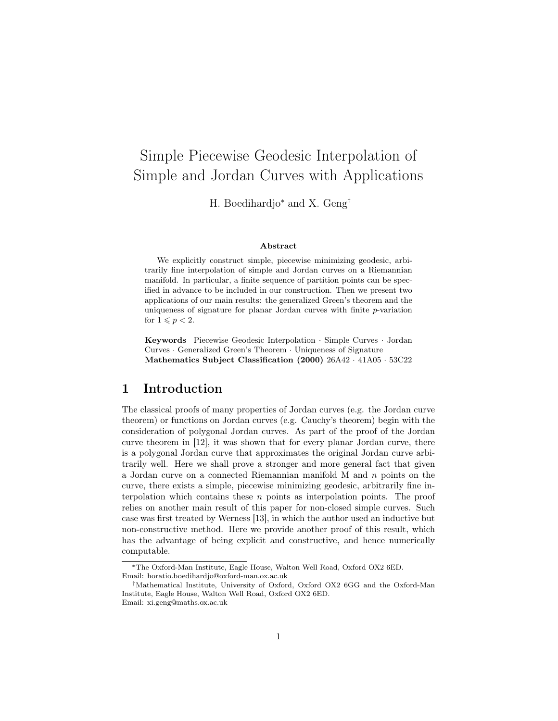# Simple Piecewise Geodesic Interpolation of Simple and Jordan Curves with Applications

H. Boedihardjo<sup>∗</sup> and X. Geng†

#### Abstract

We explicitly construct simple, piecewise minimizing geodesic, arbitrarily fine interpolation of simple and Jordan curves on a Riemannian manifold. In particular, a finite sequence of partition points can be specified in advance to be included in our construction. Then we present two applications of our main results: the generalized Green's theorem and the uniqueness of signature for planar Jordan curves with finite  $p$ -variation for  $1 \leqslant p < 2$ .

Keywords Piecewise Geodesic Interpolation · Simple Curves · Jordan Curves · Generalized Green's Theorem · Uniqueness of Signature Mathematics Subject Classification (2000) 26A42 · 41A05 · 53C22

#### 1 Introduction

The classical proofs of many properties of Jordan curves (e.g. the Jordan curve theorem) or functions on Jordan curves (e.g. Cauchy's theorem) begin with the consideration of polygonal Jordan curves. As part of the proof of the Jordan curve theorem in [12], it was shown that for every planar Jordan curve, there is a polygonal Jordan curve that approximates the original Jordan curve arbitrarily well. Here we shall prove a stronger and more general fact that given a Jordan curve on a connected Riemannian manifold  $M$  and  $n$  points on the curve, there exists a simple, piecewise minimizing geodesic, arbitrarily fine interpolation which contains these  $n$  points as interpolation points. The proof relies on another main result of this paper for non-closed simple curves. Such case was first treated by Werness [13], in which the author used an inductive but non-constructive method. Here we provide another proof of this result, which has the advantage of being explicit and constructive, and hence numerically computable.

<sup>∗</sup>The Oxford-Man Institute, Eagle House, Walton Well Road, Oxford OX2 6ED. Email: horatio.boedihardjo@oxford-man.ox.ac.uk

<sup>†</sup>Mathematical Institute, University of Oxford, Oxford OX2 6GG and the Oxford-Man Institute, Eagle House, Walton Well Road, Oxford OX2 6ED. Email: xi.geng@maths.ox.ac.uk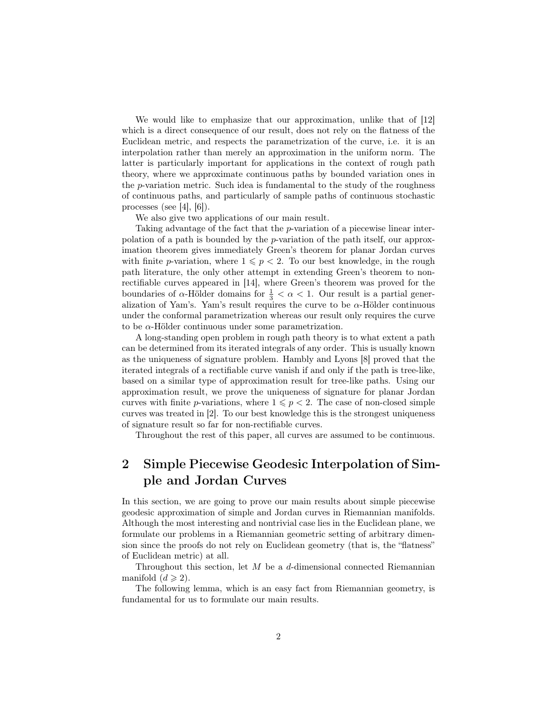We would like to emphasize that our approximation, unlike that of [12] which is a direct consequence of our result, does not rely on the flatness of the Euclidean metric, and respects the parametrization of the curve, i.e. it is an interpolation rather than merely an approximation in the uniform norm. The latter is particularly important for applications in the context of rough path theory, where we approximate continuous paths by bounded variation ones in the  $p$ -variation metric. Such idea is fundamental to the study of the roughness of continuous paths, and particularly of sample paths of continuous stochastic processes (see [4],  $[6]$ ).

We also give two applications of our main result.

Taking advantage of the fact that the p-variation of a piecewise linear interpolation of a path is bounded by the p-variation of the path itself, our approximation theorem gives immediately Green's theorem for planar Jordan curves with finite p-variation, where  $1 \leqslant p < 2$ . To our best knowledge, in the rough path literature, the only other attempt in extending Green's theorem to nonrectifiable curves appeared in [14], where Green's theorem was proved for the boundaries of  $\alpha$ -Hölder domains for  $\frac{1}{3} < \alpha < 1$ . Our result is a partial generalization of Yam's. Yam's result requires the curve to be  $\alpha$ -Hölder continuous under the conformal parametrization whereas our result only requires the curve to be  $\alpha$ -Hölder continuous under some parametrization.

A long-standing open problem in rough path theory is to what extent a path can be determined from its iterated integrals of any order. This is usually known as the uniqueness of signature problem. Hambly and Lyons [8] proved that the iterated integrals of a rectifiable curve vanish if and only if the path is tree-like, based on a similar type of approximation result for tree-like paths. Using our approximation result, we prove the uniqueness of signature for planar Jordan curves with finite p-variations, where  $1 \leqslant p < 2$ . The case of non-closed simple curves was treated in [2]. To our best knowledge this is the strongest uniqueness of signature result so far for non-rectifiable curves.

Throughout the rest of this paper, all curves are assumed to be continuous.

# 2 Simple Piecewise Geodesic Interpolation of Simple and Jordan Curves

In this section, we are going to prove our main results about simple piecewise geodesic approximation of simple and Jordan curves in Riemannian manifolds. Although the most interesting and nontrivial case lies in the Euclidean plane, we formulate our problems in a Riemannian geometric setting of arbitrary dimension since the proofs do not rely on Euclidean geometry (that is, the "flatness" of Euclidean metric) at all.

Throughout this section, let  $M$  be a d-dimensional connected Riemannian manifold  $(d \geq 2)$ .

The following lemma, which is an easy fact from Riemannian geometry, is fundamental for us to formulate our main results.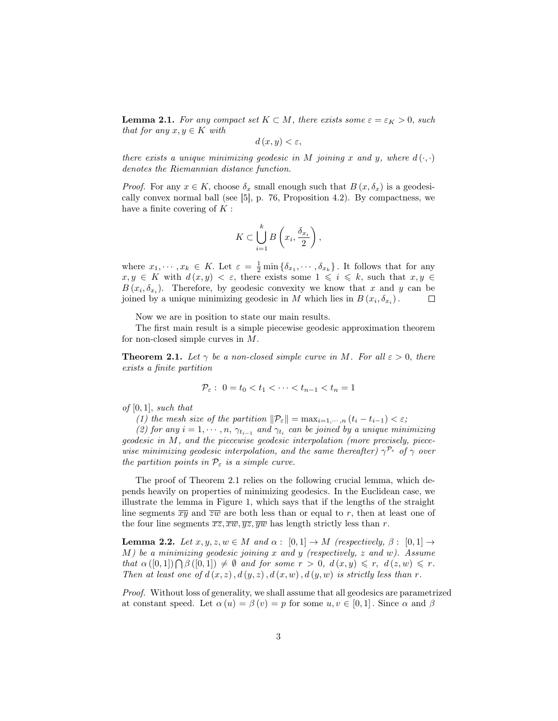**Lemma 2.1.** For any compact set  $K \subset M$ , there exists some  $\varepsilon = \varepsilon_K > 0$ , such that for any  $x, y \in K$  with

$$
d(x,y) < \varepsilon,
$$

there exists a unique minimizing geodesic in M joining x and y, where  $d(\cdot, \cdot)$ denotes the Riemannian distance function.

*Proof.* For any  $x \in K$ , choose  $\delta_x$  small enough such that  $B(x, \delta_x)$  is a geodesically convex normal ball (see [5], p. 76, Proposition 4.2). By compactness, we have a finite covering of  $K$ :

$$
K \subset \bigcup_{i=1}^k B\left(x_i, \frac{\delta_{x_i}}{2}\right),
$$

where  $x_1, \dots, x_k \in K$ . Let  $\varepsilon = \frac{1}{2} \min \{\delta_{x_1}, \dots, \delta_{x_k}\}\$ . It follows that for any  $x, y \in K$  with  $d(x, y) < \varepsilon$ , there exists some  $1 \leqslant i \leqslant k$ , such that  $x, y \in$  $B(x_i, \delta_{x_i})$ . Therefore, by geodesic convexity we know that x and y can be joined by a unique minimizing geodesic in M which lies in  $B(x_i, \delta_{x_i})$ .  $\Box$ 

Now we are in position to state our main results.

The first main result is a simple piecewise geodesic approximation theorem for non-closed simple curves in M.

**Theorem 2.1.** Let  $\gamma$  be a non-closed simple curve in M. For all  $\varepsilon > 0$ , there exists a finite partition

$$
\mathcal{P}_{\varepsilon}: 0 = t_0 < t_1 < \cdots < t_{n-1} < t_n = 1
$$

of  $[0, 1]$ , such that

(1) the mesh size of the partition  $\|\mathcal{P}_{\varepsilon}\| = \max_{i=1,\dots,n} (t_i - t_{i-1}) < \varepsilon;$ 

(2) for any  $i = 1, \dots, n, \gamma_{t_{i-1}}$  and  $\gamma_{t_i}$  can be joined by a unique minimizing geodesic in M, and the piecewise geodesic interpolation (more precisely, piecewise minimizing geodesic interpolation, and the same thereafter)  $\gamma^{P_{\varepsilon}}$  of  $\gamma$  over the partition points in  $\mathcal{P}_{\varepsilon}$  is a simple curve.

The proof of Theorem 2.1 relies on the following crucial lemma, which depends heavily on properties of minimizing geodesics. In the Euclidean case, we illustrate the lemma in Figure 1, which says that if the lengths of the straight line segments  $\overline{xy}$  and  $\overline{zw}$  are both less than or equal to r, then at least one of the four line segments  $\overline{xz}, \overline{xw}, \overline{yz}, \overline{yw}$  has length strictly less than r.

**Lemma 2.2.** Let  $x, y, z, w \in M$  and  $\alpha : [0, 1] \to M$  (respectively,  $\beta : [0, 1] \to M$  $M$ ) be a minimizing geodesic joining x and y (respectively, z and w). Assume that  $\alpha([0,1]) \bigcap \beta([0,1]) \neq \emptyset$  and for some  $r > 0$ ,  $d(x,y) \leq r$ ,  $d(z,w) \leq r$ . Then at least one of  $d(x, z)$ ,  $d(y, z)$ ,  $d(x, w)$ ,  $d(y, w)$  is strictly less than r.

Proof. Without loss of generality, we shall assume that all geodesics are parametrized at constant speed. Let  $\alpha(u) = \beta(v) = p$  for some  $u, v \in [0, 1]$ . Since  $\alpha$  and  $\beta$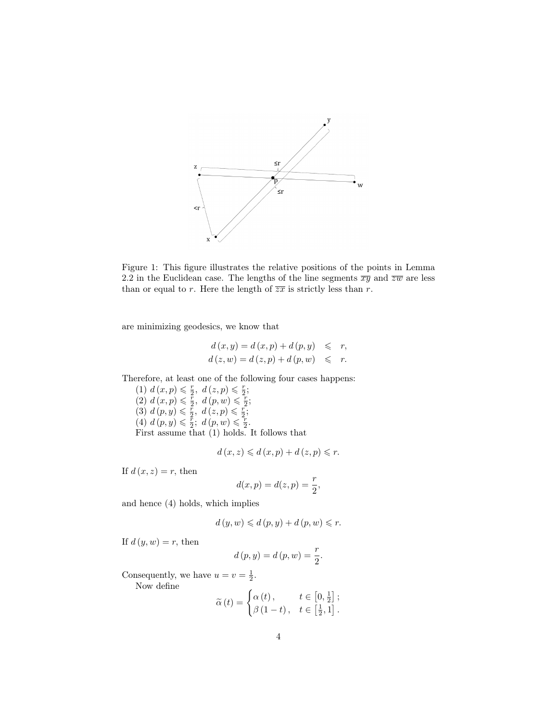

Figure 1: This figure illustrates the relative positions of the points in Lemma 2.2 in the Euclidean case. The lengths of the line segments  $\overline{xy}$  and  $\overline{zw}$  are less than or equal to r. Here the length of  $\overline{zx}$  is strictly less than r.

are minimizing geodesics, we know that

$$
d(x,y) = d(x,p) + d(p,y) \leq r,
$$
  

$$
d(z,w) = d(z,p) + d(p,w) \leq r.
$$

Therefore, at least one of the following four cases happens:

(1)  $d(x,p) \leq \frac{r}{2}, d(z,p) \leq \frac{r}{2};$ (2)  $d(x,p) \leq \frac{\pi}{2}, d(p,w) \leq \frac{\pi}{2};$ (3)  $d(p, y) \leq \frac{\tilde{r}}{2}, d(z, p) \leq \frac{\tilde{r}}{2};$ (4)  $d(p, y) \leq \frac{r}{2}$ ;  $d(p, w) \leq \frac{r}{2}$ . First assume that (1) holds. It follows that

$$
d(x, z) \leqslant d(x, p) + d(z, p) \leqslant r.
$$

If  $d(x, z) = r$ , then

$$
d(x,p) = d(z,p) = \frac{r}{2},
$$

and hence (4) holds, which implies

$$
d(y, w) \leq d(p, y) + d(p, w) \leq r.
$$

If  $d(y, w) = r$ , then

$$
d(p, y) = d(p, w) = \frac{r}{2}.
$$

Consequently, we have  $u = v = \frac{1}{2}$ . Now define

$$
\widetilde{\alpha}(t) = \begin{cases} \alpha(t), & t \in [0, \frac{1}{2}]; \\ \beta(1-t), & t \in [\frac{1}{2}, 1]. \end{cases}
$$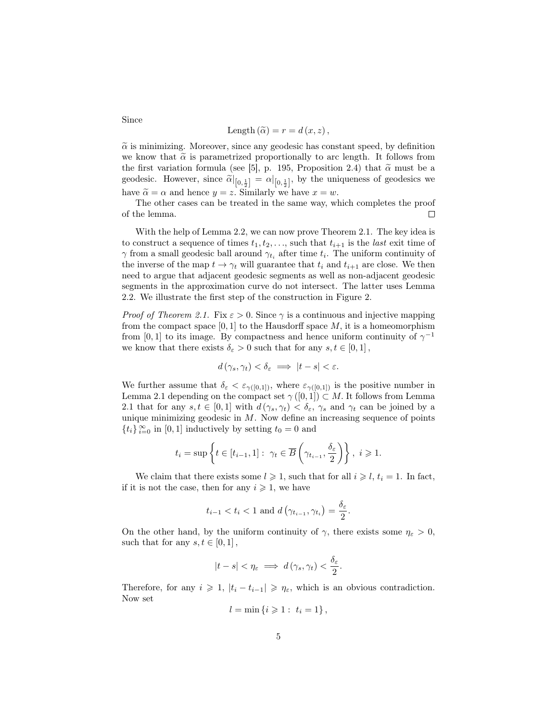Length 
$$
(\widetilde{\alpha}) = r = d(x, z)
$$
,

 $\tilde{\alpha}$  is minimizing. Moreover, since any geodesic has constant speed, by definition we know that  $\tilde{\alpha}$  is parametrized proportionally to arc length. It follows from the first variation formula (see [5], p. 195, Proposition 2.4) that  $\tilde{\alpha}$  must be a geodesic. However, since  $\tilde{\alpha}|_{[0,\frac{1}{2}]} = \alpha|_{[0,\frac{1}{2}]}$ , by the uniqueness of geodesics we have  $\tilde{\alpha} = \alpha$  and hence  $y = z$ . Similarly we have  $x = w$ .

The other cases can be treated in the same way, which completes the proof of the lemma.  $\Box$ 

With the help of Lemma 2.2, we can now prove Theorem 2.1. The key idea is to construct a sequence of times  $t_1, t_2, \ldots$ , such that  $t_{i+1}$  is the *last* exit time of  $\gamma$  from a small geodesic ball around  $\gamma_{t_i}$  after time  $t_i$ . The uniform continuity of the inverse of the map  $t \to \gamma_t$  will guarantee that  $t_i$  and  $t_{i+1}$  are close. We then need to argue that adjacent geodesic segments as well as non-adjacent geodesic segments in the approximation curve do not intersect. The latter uses Lemma 2.2. We illustrate the first step of the construction in Figure 2.

*Proof of Theorem 2.1.* Fix  $\varepsilon > 0$ . Since  $\gamma$  is a continuous and injective mapping from the compact space  $[0, 1]$  to the Hausdorff space  $M$ , it is a homeomorphism from [0, 1] to its image. By compactness and hence uniform continuity of  $\gamma^{-1}$ we know that there exists  $\delta_{\varepsilon} > 0$  such that for any  $s, t \in [0, 1]$ ,

$$
d(\gamma_s, \gamma_t) < \delta_{\varepsilon} \implies |t - s| < \varepsilon.
$$

We further assume that  $\delta_{\varepsilon} < \varepsilon_{\gamma([0,1])}$ , where  $\varepsilon_{\gamma([0,1])}$  is the positive number in Lemma 2.1 depending on the compact set  $\gamma([0,1]) \subset M$ . It follows from Lemma 2.1 that for any  $s, t \in [0, 1]$  with  $d(\gamma_s, \gamma_t) < \delta_{\varepsilon}, \gamma_s$  and  $\gamma_t$  can be joined by a unique minimizing geodesic in  $M$ . Now define an increasing sequence of points  $\{t_i\}_{i=0}^{\infty}$  in [0, 1] inductively by setting  $t_0 = 0$  and

$$
t_i = \sup \left\{ t \in [t_{i-1}, 1]: \ \gamma_t \in \overline{B}\left(\gamma_{t_{i-1}}, \frac{\delta_{\varepsilon}}{2}\right) \right\}, \ i \geqslant 1.
$$

We claim that there exists some  $l \geq 1$ , such that for all  $i \geq l$ ,  $t_i = 1$ . In fact, if it is not the case, then for any  $i \geq 1$ , we have

$$
t_{i-1} < t_i < 1 \text{ and } d\left(\gamma_{t_{i-1}}, \gamma_{t_i}\right) = \frac{\delta_{\varepsilon}}{2}.
$$

On the other hand, by the uniform continuity of  $\gamma$ , there exists some  $\eta_{\varepsilon} > 0$ , such that for any  $s, t \in [0, 1]$ ,

$$
|t-s|<\eta_{\varepsilon} \implies d(\gamma_s,\gamma_t)<\frac{\delta_{\varepsilon}}{2}.
$$

Therefore, for any  $i \geq 1$ ,  $|t_i - t_{i-1}| \geq \eta_{\varepsilon}$ , which is an obvious contradiction. Now set

$$
l = \min \{ i \geq 1 : t_i = 1 \},
$$

Since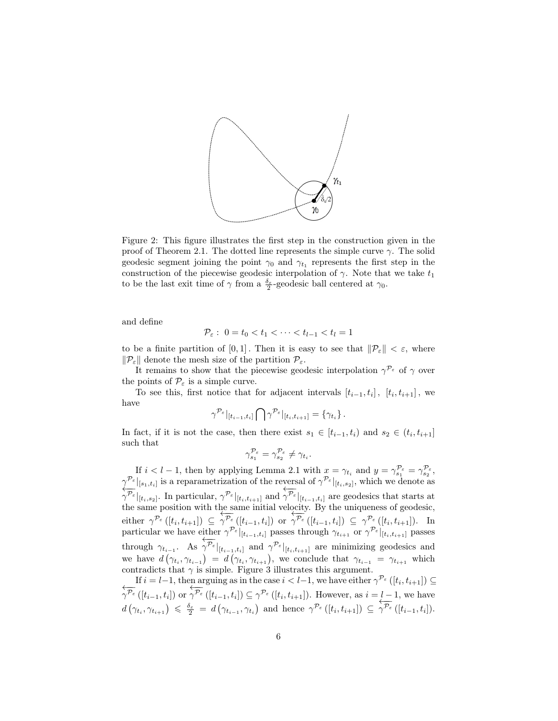

Figure 2: This figure illustrates the first step in the construction given in the proof of Theorem 2.1. The dotted line represents the simple curve  $\gamma$ . The solid geodesic segment joining the point  $\gamma_0$  and  $\gamma_{t_1}$  represents the first step in the construction of the piecewise geodesic interpolation of  $\gamma$ . Note that we take  $t_1$ to be the last exit time of  $\gamma$  from a  $\frac{\delta_{\varepsilon}}{2}$ -geodesic ball centered at  $\gamma_0$ .

and define

$$
\mathcal{P}_{\varepsilon}: 0 = t_0 < t_1 < \cdots < t_{l-1} < t_l = 1
$$

to be a finite partition of [0,1]. Then it is easy to see that  $\|\mathcal{P}_{\varepsilon}\| < \varepsilon$ , where  $\|\mathcal{P}_{\varepsilon}\|$  denote the mesh size of the partition  $\mathcal{P}_{\varepsilon}$ .

It remains to show that the piecewise geodesic interpolation  $\gamma^{\mathcal{P}_{\varepsilon}}$  of  $\gamma$  over the points of  $\mathcal{P}_{\varepsilon}$  is a simple curve.

To see this, first notice that for adjacent intervals  $[t_{i-1}, t_i]$ ,  $[t_i, t_{i+1}]$ , we have

$$
\gamma^{\mathcal{P}_{\varepsilon}}|_{[t_{i-1},t_i]}\bigcap \gamma^{\mathcal{P}_{\varepsilon}}|_{[t_i,t_{i+1}]}=\{\gamma_{t_i}\}\,.
$$

In fact, if it is not the case, then there exist  $s_1 \in [t_{i-1}, t_i)$  and  $s_2 \in (t_i, t_{i+1}]$ such that

$$
\gamma_{s_1}^{\mathcal{P}_{\varepsilon}} = \gamma_{s_2}^{\mathcal{P}_{\varepsilon}} \neq \gamma_{t_i}.
$$

If  $i < l-1$ , then by applying Lemma 2.1 with  $x = \gamma_{t_i}$  and  $y = \gamma_{s_1}^{\mathcal{P}_{\varepsilon}} = \gamma_{s_2}^{\mathcal{P}_{\varepsilon}}$ ,  $\gamma^{\mathcal{P}_{\varepsilon}}|_{[s_1,t_i]}$  is a reparametrization of the reversal of  $\gamma^{\mathcal{P}_{\varepsilon}}|_{[t_i,s_2]}$ , which we denote as  $\leftarrow$  $\|\gamma^{\mathcal{P}_{\varepsilon}}\|_{[t_i,s_2]}$ . In particular,  $\gamma^{\mathcal{P}_{\varepsilon}}|_{[t_i,t_{i+1}]}$  and ←−−  $\left. \dot{\gamma}^{\mathcal{P}_{\varepsilon}} \right|_{[t_{i-1},t_i]}$  are geodesics that starts at the same position with the same initial velocity. By the uniqueness of geodesic, either  $\gamma^{\mathcal{P}_{\varepsilon}}([t_i,t_{i+1}]) \subseteq$  $+\frac{1}{2}$  $\gamma^{\mathcal{P}_{\varepsilon}}\left([t_{i-1},t_i]\right)$  or  $rac{0}{\sqrt{\pi}}$  $\gamma^{\mathcal{P}_{\varepsilon}}\left([t_{i-1},t_i]\right) \subseteq \gamma^{\mathcal{P}_{\varepsilon}}\left([t_i,t_{i+1}]\right)$ . In particular we have either  $\gamma^{\mathcal{P}_{\varepsilon}}|_{[t_{i-1},t_i]}$  passes through  $\gamma_{t_{i+1}}$  or  $\gamma^{\mathcal{P}_{\varepsilon}}|_{[t_i,t_{i+1}]}$  passes through  $\gamma_{t_{i-1}}$ . As ←−−  $\|\gamma^{\mathcal{P}_{\varepsilon}}\|_{[t_{i-1},t_i]}$  and  $\gamma^{\mathcal{P}_{\varepsilon}}|_{[t_i,t_{i+1}]}$  are minimizing geodesics and we have  $d(\gamma_{t_i}, \gamma_{t_{i-1}}) = d(\gamma_{t_i}, \gamma_{t_{i+1}})$ , we conclude that  $\gamma_{t_{i-1}} = \gamma_{t_{i+1}}$  which contradicts that  $\gamma$  is simple. Figure 3 illustrates this argument. If  $i = l-1$ , then arguing as in the case  $i < l-1$ , we have either  $\gamma^{\mathcal{P}_{\varepsilon}}([t_i, t_{i+1}]) \subseteq$ 

←−−  $\gamma^{\mathcal{P}_{\varepsilon}}\left([t_{i-1},t_i]\right)$  or ←−−  $\gamma^{\mathcal{P}_{\varepsilon}}([t_{i-1},t_i]) \subseteq \gamma^{\mathcal{P}_{\varepsilon}}([t_i,t_{i+1}]).$  However, as  $i = l-1$ , we have  $d\left(\gamma_{t_i}, \gamma_{t_{i+1}}\right) \leqslant \frac{\delta_{\varepsilon}}{2} = d\left(\gamma_{t_{i-1}}, \gamma_{t_i}\right)$  and hence  $\gamma^{\mathcal{P}_{\varepsilon}}\left([t_i, t_{i+1}]\right) \subseteq$ ←−−  $\gamma^{\mathcal{P}_{\varepsilon}}\left([t_{i-1},t_i]\right)$ .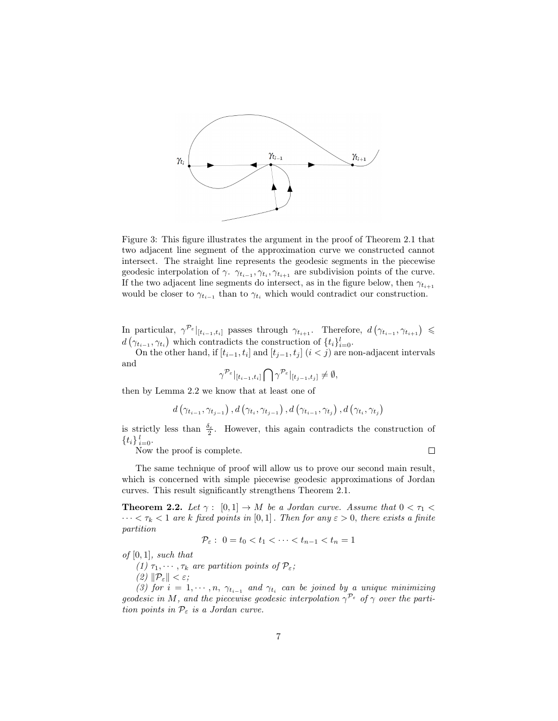

Figure 3: This figure illustrates the argument in the proof of Theorem 2.1 that two adjacent line segment of the approximation curve we constructed cannot intersect. The straight line represents the geodesic segments in the piecewise geodesic interpolation of  $\gamma$ .  $\gamma_{t_{i-1}}, \gamma_{t_i}, \gamma_{t_{i+1}}$  are subdivision points of the curve. If the two adjacent line segments do intersect, as in the figure below, then  $\gamma_{t_{i+1}}$ would be closer to  $\gamma_{t_{i-1}}$  than to  $\gamma_{t_i}$  which would contradict our construction.

In particular,  $\gamma^{\mathcal{P}_{\varepsilon}}|_{[t_{i-1},t_i]}$  passes through  $\gamma_{t_{i+1}}$ . Therefore,  $d(\gamma_{t_{i-1}}, \gamma_{t_{i+1}}) \leq$  $d\left(\gamma_{t_{i-1}}, \gamma_{t_i}\right)$  which contradicts the construction of  $\{t_i\}_{i=0}^l$ .

On the other hand, if  $[t_{i-1}, t_i]$  and  $[t_{j-1}, t_j]$   $(i < j)$  are non-adjacent intervals and

$$
\gamma^{\mathcal{P}_{\varepsilon}}|_{[t_{i-1},t_i]}\bigcap\gamma^{\mathcal{P}_{\varepsilon}}|_{[t_{j-1},t_j]}\neq\emptyset,
$$

then by Lemma 2.2 we know that at least one of

$$
d\left(\gamma_{t_{i-1}}, \gamma_{t_{j-1}}\right), d\left(\gamma_{t_i}, \gamma_{t_{j-1}}\right), d\left(\gamma_{t_{i-1}}, \gamma_{t_j}\right), d\left(\gamma_{t_i}, \gamma_{t_j}\right)
$$

is strictly less than  $\frac{\delta_{\varepsilon}}{2}$ . However, this again contradicts the construction of  ${t_i} \}_{i=0}^l$ .

Now the proof is complete.

 $\Box$ 

The same technique of proof will allow us to prove our second main result, which is concerned with simple piecewise geodesic approximations of Jordan curves. This result significantly strengthens Theorem 2.1.

**Theorem 2.2.** Let  $\gamma : [0,1] \to M$  be a Jordan curve. Assume that  $0 < \tau_1 <$  $\cdots < \tau_k < 1$  are k fixed points in [0,1]. Then for any  $\varepsilon > 0$ , there exists a finite partition

$$
\mathcal{P}_{\varepsilon}: 0 = t_0 < t_1 < \cdots < t_{n-1} < t_n = 1
$$

 $of [0, 1]$ , such that

(1)  $\tau_1, \dots, \tau_k$  are partition points of  $\mathcal{P}_{\varepsilon}$ ;

(2)  $\|\mathcal{P}_{\varepsilon}\| < \varepsilon$ ;

(3) for  $i = 1, \dots, n$ ,  $\gamma_{t_{i-1}}$  and  $\gamma_{t_i}$  can be joined by a unique minimizing geodesic in M, and the piecewise geodesic interpolation  $\gamma^{P_{\varepsilon}}$  of  $\gamma$  over the partition points in  $\mathcal{P}_{\varepsilon}$  is a Jordan curve.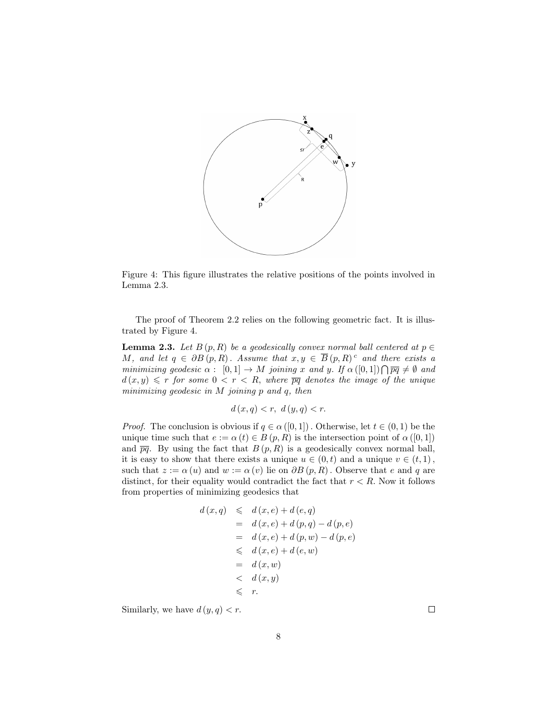

Figure 4: This figure illustrates the relative positions of the points involved in Lemma 2.3.

The proof of Theorem 2.2 relies on the following geometric fact. It is illustrated by Figure 4.

**Lemma 2.3.** Let  $B(p, R)$  be a geodesically convex normal ball centered at  $p \in$ M, and let  $q \in \partial B(p, R)$ . Assume that  $x, y \in \overline{B}(p, R)^c$  and there exists a minimizing geodesic  $\alpha: [0,1] \to M$  joining x and y. If  $\alpha([0,1]) \cap \overline{pq} \neq \emptyset$  and  $d(x, y) \leq r$  for some  $0 < r < R$ , where  $\overline{pq}$  denotes the image of the unique minimizing geodesic in M joining p and q, then

$$
d(x,q) < r, \ d(y,q) < r.
$$

*Proof.* The conclusion is obvious if  $q \in \alpha([0,1])$ . Otherwise, let  $t \in (0,1)$  be the unique time such that  $e := \alpha(t) \in B(p, R)$  is the intersection point of  $\alpha([0, 1])$ and  $\overline{pq}$ . By using the fact that  $B(p, R)$  is a geodesically convex normal ball, it is easy to show that there exists a unique  $u \in (0, t)$  and a unique  $v \in (t, 1)$ , such that  $z := \alpha(u)$  and  $w := \alpha(v)$  lie on  $\partial B(p, R)$ . Observe that e and q are distinct, for their equality would contradict the fact that  $r < R$ . Now it follows from properties of minimizing geodesics that

$$
d(x,q) \le d(x,e) + d(e,q)
$$
  
=  $d(x,e) + d(p,q) - d(p,e)$   
=  $d(x,e) + d(p,w) - d(p,e)$   
 $\le d(x,e) + d(e,w)$   
=  $d(x,w)$   
 $\le d(x,y)$   
 $\le r$ .

Similarly, we have  $d(y, q) < r$ .

 $\Box$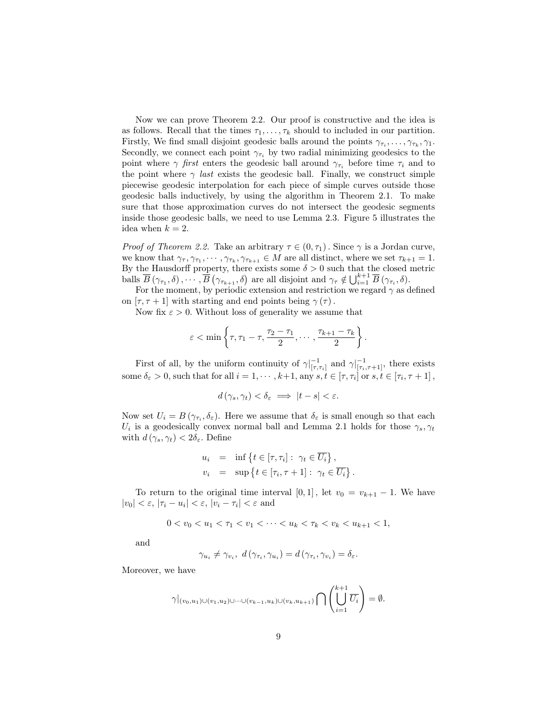Now we can prove Theorem 2.2. Our proof is constructive and the idea is as follows. Recall that the times  $\tau_1, \ldots, \tau_k$  should to included in our partition. Firstly, We find small disjoint geodesic balls around the points  $\gamma_{\tau_i}, \ldots, \gamma_{\tau_k}, \gamma_1$ . Secondly, we connect each point  $\gamma_{\tau_i}$  by two radial minimizing geodesics to the point where  $\gamma$  first enters the geodesic ball around  $\gamma_{\tau_i}$  before time  $\tau_i$  and to the point where  $\gamma$  last exists the geodesic ball. Finally, we construct simple piecewise geodesic interpolation for each piece of simple curves outside those geodesic balls inductively, by using the algorithm in Theorem 2.1. To make sure that those approximation curves do not intersect the geodesic segments inside those geodesic balls, we need to use Lemma 2.3. Figure 5 illustrates the idea when  $k = 2$ .

*Proof of Theorem 2.2.* Take an arbitrary  $\tau \in (0, \tau_1)$ . Since  $\gamma$  is a Jordan curve, we know that  $\gamma_{\tau}, \gamma_{\tau_1}, \cdots, \gamma_{\tau_k}, \gamma_{\tau_{k+1}} \in M$  are all distinct, where we set  $\tau_{k+1} = 1$ . By the Hausdorff property, there exists some  $\delta > 0$  such that the closed metric balls  $\overline{B}(\gamma_{\tau_1}, \delta), \cdots, \overline{B}(\gamma_{\tau_{k+1}}, \delta)$  are all disjoint and  $\gamma_{\tau} \notin \bigcup_{i=1}^{k+1} \overline{B}(\gamma_{\tau_i}, \delta)$ .

For the moment, by periodic extension and restriction we regard  $\gamma$  as defined on  $[\tau, \tau + 1]$  with starting and end points being  $\gamma(\tau)$ .

Now fix  $\varepsilon > 0$ . Without loss of generality we assume that

$$
\varepsilon < \min\left\{\tau, \tau_1 - \tau, \frac{\tau_2 - \tau_1}{2}, \cdots, \frac{\tau_{k+1} - \tau_k}{2}\right\}.
$$

First of all, by the uniform continuity of  $\gamma|_{[\tau,\tau_i]}^{-1}$  and  $\gamma|_{[\tau_i,\tau+1]}^{-1}$ , there exists some  $\delta_{\varepsilon} > 0$ , such that for all  $i = 1, \dots, k+1$ , any  $s, t \in [\tau, \tau_i]$  or  $s, t \in [\tau_i, \tau + 1]$ ,

$$
d(\gamma_s, \gamma_t) < \delta_{\varepsilon} \implies |t - s| < \varepsilon.
$$

Now set  $U_i = B(\gamma_{\tau_i}, \delta_{\varepsilon})$ . Here we assume that  $\delta_{\varepsilon}$  is small enough so that each  $U_i$  is a geodesically convex normal ball and Lemma 2.1 holds for those  $\gamma_s, \gamma_t$ with  $d(\gamma_s, \gamma_t) < 2\delta_{\varepsilon}$ . Define

$$
u_i = \inf \{ t \in [\tau, \tau_i] : \gamma_t \in \overline{U_i} \},
$$
  

$$
v_i = \sup \{ t \in [\tau_i, \tau + 1] : \gamma_t \in \overline{U_i} \}.
$$

To return to the original time interval [0, 1], let  $v_0 = v_{k+1} - 1$ . We have  $|v_0| < \varepsilon, |\tau_i - u_i| < \varepsilon, |v_i - \tau_i| < \varepsilon$  and

$$
0 < v_0 < u_1 < \tau_1 < v_1 < \cdots < u_k < \tau_k < v_k < u_{k+1} < 1,
$$

and

$$
\gamma_{u_i} \neq \gamma_{v_i}, \ d(\gamma_{\tau_i}, \gamma_{u_i}) = d(\gamma_{\tau_i}, \gamma_{v_i}) = \delta_{\varepsilon}.
$$

Moreover, we have

$$
\gamma|_{(v_0,u_1)\cup (v_1,u_2)\cup\cdots\cup (v_{k-1},u_k)\cup (v_k,u_{k+1})}\bigcap \left(\bigcup_{i=1}^{k+1}\overline{U_i}\right)=\emptyset.
$$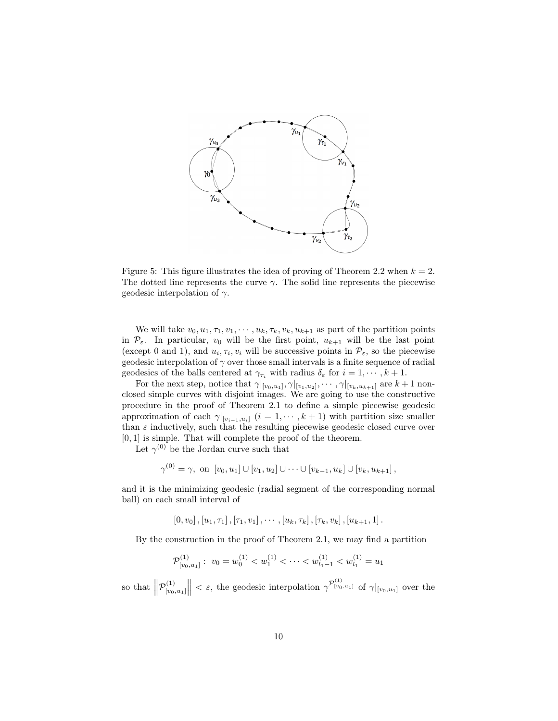

Figure 5: This figure illustrates the idea of proving of Theorem 2.2 when  $k = 2$ . The dotted line represents the curve  $\gamma$ . The solid line represents the piecewise geodesic interpolation of  $\gamma$ .

We will take  $v_0, u_1, \tau_1, v_1, \cdots, u_k, \tau_k, v_k, u_{k+1}$  as part of the partition points in  $\mathcal{P}_{\varepsilon}$ . In particular,  $v_0$  will be the first point,  $u_{k+1}$  will be the last point (except 0 and 1), and  $u_i, \tau_i, v_i$  will be successive points in  $\mathcal{P}_{\varepsilon}$ , so the piecewise geodesic interpolation of  $\gamma$  over those small intervals is a finite sequence of radial geodesics of the balls centered at  $\gamma_{\tau_i}$  with radius  $\delta_{\varepsilon}$  for  $i = 1, \dots, k + 1$ .

For the next step, notice that  $\gamma|_{[v_0,u_1]}, \gamma|_{[v_1,u_2]}, \cdots, \gamma|_{[v_k,u_{k+1}]}$  are  $k+1$  nonclosed simple curves with disjoint images. We are going to use the constructive procedure in the proof of Theorem 2.1 to define a simple piecewise geodesic approximation of each  $\gamma|_{[v_{i-1},u_i]}$   $(i = 1,\cdots,k+1)$  with partition size smaller than  $\varepsilon$  inductively, such that the resulting piecewise geodesic closed curve over [0, 1] is simple. That will complete the proof of the theorem.

Let  $\gamma^{(0)}$  be the Jordan curve such that

$$
\gamma^{(0)} = \gamma, \text{ on } [v_0, u_1] \cup [v_1, u_2] \cup \cdots \cup [v_{k-1}, u_k] \cup [v_k, u_{k+1}],
$$

and it is the minimizing geodesic (radial segment of the corresponding normal ball) on each small interval of

 $[0, v_0], [u_1, \tau_1], [\tau_1, v_1], \cdots, [u_k, \tau_k], [\tau_k, v_k], [u_{k+1}, 1].$ 

By the construction in the proof of Theorem 2.1, we may find a partition

$$
\mathcal{P}_{[v_0, u_1]}^{(1)}: v_0 = w_0^{(1)} < w_1^{(1)} < \cdots < w_{l_1 - 1}^{(1)} < w_{l_1}^{(1)} = u_1
$$

so that  $\left\| \mathcal{P}_{[v_0]}^{(1)} \right\|$  $\left\| \begin{array}{c} (1) \\ (v_0, u_1] \end{array} \right\| < \varepsilon$ , the geodesic interpolation  $\gamma^{p_{[v_0, u_1]}}$  of  $\gamma|_{[v_0, u_1]}$  over the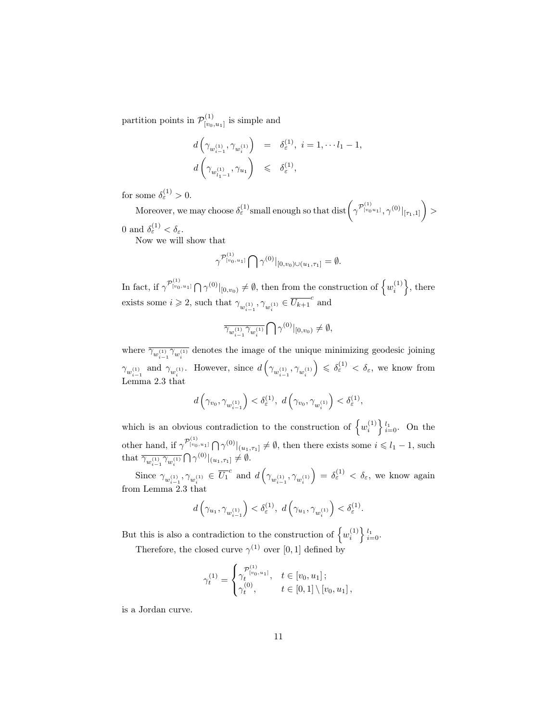partition points in  $\mathcal{P}_{\text{free}}^{(1)}$  $\binom{[1]}{[v_0,u_1]}$  is simple and

$$
\begin{array}{rcl} d\left(\gamma_{w_{i-1}^{(1)}}, \gamma_{w_{i}^{(1)}}\right) & = & \delta_{\varepsilon}^{(1)}, \ i=1, \cdots l_1-1, \\[3mm] d\left(\gamma_{w_{l_1-1}^{(1)}}, \gamma_{u_1}\right) & \leqslant & \delta_{\varepsilon}^{(1)}, \end{array}
$$

for some  $\delta_{\varepsilon}^{(1)} > 0$ .

Moreover, we may choose  $\delta_{\varepsilon}^{(1)}$  small enough so that  $\text{dist}(\gamma^{ \mathcal{P}^{(1)}_{[v_0 u_1]}}, \gamma^{(0)}|_{[\tau_1,1]}) >$ 0 and  $\delta_{\varepsilon}^{(1)} < \delta_{\varepsilon}$ .

Now we will show that

$$
\gamma^{\mathcal{P}^{(1)}_{[v_0, u_1]}} \bigcap \gamma^{(0)}|_{[0, v_0) \cup (u_1, \tau_1]} = \emptyset.
$$

In fact, if  $\gamma^{P_{[v_0, u_1]}} \bigcap \gamma^{(0)}|_{[0, v_0)} \neq \emptyset$ , then from the construction of  $\left\{w_i^{(1)}\right\}$ , there exists some  $i \geqslant 2$ , such that  $\gamma_{w_{i-1}^{(1)}}, \gamma_{w_{i}^{(1)}} \in \overline{U_{k+1}}^c$  and

$$
\overline{\gamma_{w_{i-1}^{(1)}}\gamma_{w_{i}^{(1)}}}\bigcap\gamma^{(0)}|_{[0,v_{0})}\neq\emptyset,
$$

where  $\overline{\gamma_{w_{i-1}^{(1)}} \gamma_{w_i^{(1)}}}$  denotes the image of the unique minimizing geodesic joining  $\gamma_{w_{i-1}^{(1)}}$  and  $\gamma_{w_i^{(1)}}$ . However, since  $d\left(\gamma_{w_{i-1}^{(1)}}, \gamma_{w_i^{(1)}}\right)$  $\Big) \leqslant \delta_{\varepsilon}^{(1)} < \delta_{\varepsilon}$ , we know from Lemma 2.3 that

$$
d\left(\gamma_{v_0}, \gamma_{w_{i-1}^{(1)}}\right) < \delta_{\varepsilon}^{(1)}, \ d\left(\gamma_{v_0}, \gamma_{w_i^{(1)}}\right) < \delta_{\varepsilon}^{(1)},
$$

which is an obvious contradiction to the construction of  $\{w_i^{(1)}\}_{i=0}^{l_1}$ . On the other hand, if  $\gamma^{p_{\{v_0, u_1\}}}_{(v_0, u_1)} \bigcap \gamma^{(0)}|_{(u_1, \tau_1]} \neq \emptyset$ , then there exists some  $i \leq l_1 - 1$ , such that  $\overline{\gamma_{w_{i-1}^{(1)}} \gamma_{w_i^{(1)}}} \bigcap \gamma^{(0)}|_{(u_1,\tau_1]} \neq \emptyset$ .  $i-1 \quad w_i$ 

Since  $\gamma_{w_{i-1}^{(1)}}, \gamma_{w_{i}^{(1)}} \in \overline{U_1}^c$  and  $d\left(\gamma_{w_{i-1}^{(1)}}, \gamma_{w_{i}^{(1)}}\right)$  $\Big) = \delta_{\varepsilon}^{(1)} < \delta_{\varepsilon}$ , we know again from Lemma 2.3 that

$$
d\left(\gamma_{u_1}, \gamma_{w_{i-1}^{(1)}}\right) < \delta_{\varepsilon}^{(1)},\ d\left(\gamma_{u_1}, \gamma_{w_{i}^{(1)}}\right) < \delta_{\varepsilon}^{(1)}.
$$

But this is also a contradiction to the construction of  $\{w_i^{(1)}\}_{i=0}^{l_1}$ .

Therefore, the closed curve  $\gamma^{(1)}$  over [0, 1] defined by

$$
\gamma_t^{(1)} = \begin{cases} \gamma_t^{(1)} & t \in [v_0, u_1]; \\ \gamma_t^{(0)} & t \in [0, 1] \setminus [v_0, u_1], \end{cases}
$$

is a Jordan curve.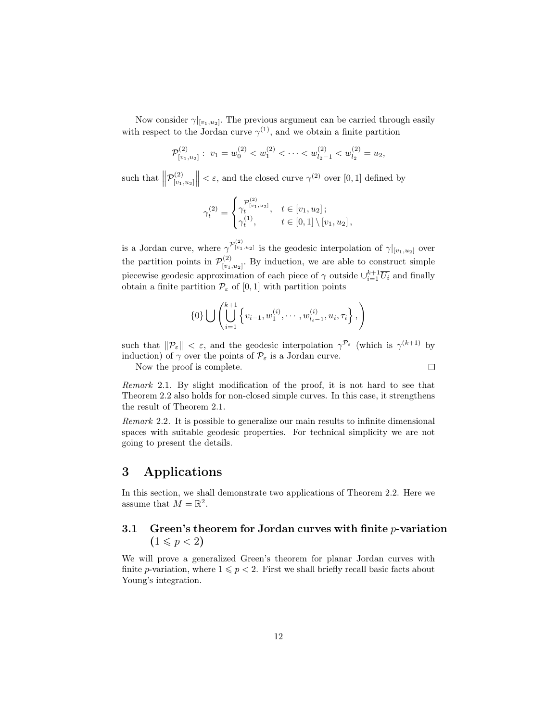Now consider  $\gamma|_{[v_1, u_2]}$ . The previous argument can be carried through easily with respect to the Jordan curve  $\gamma^{(1)}$ , and we obtain a finite partition

$$
\mathcal{P}_{[v_1, u_2]}^{(2)}: v_1 = w_0^{(2)} < w_1^{(2)} < \cdots < w_{l_2-1}^{(2)} < w_{l_2}^{(2)} = u_2,
$$

such that  $\left\| \mathcal{P}_{[v_1}^{(2)} \right\|$  $\left\| \begin{array}{c} (2) \\ \lfloor v_1,u_2 \rfloor \end{array} \right\| < \varepsilon$ , and the closed curve  $\gamma^{(2)}$  over  $[0,1]$  defined by

$$
\gamma_t^{(2)} = \begin{cases} \gamma_t^{(2)}, & t \in [v_1, u_2]; \\ \gamma_t^{(1)}, & t \in [0, 1] \setminus [v_1, u_2], \end{cases}
$$

is a Jordan curve, where  $\gamma^{P_{[v_1, u_2]}^{(2)}}$  is the geodesic interpolation of  $\gamma|_{[v_1, u_2]}$  over the partition points in  $\mathcal{P}_{\text{f}_{21}}^{(2)}$  $\binom{[2]}{[v_1,u_2]}$ . By induction, we are able to construct simple piecewise geodesic approximation of each piece of  $\gamma$  outside  $\cup_{i=1}^{k+1} \overline{U_i}$  and finally obtain a finite partition  $\mathcal{P}_{\varepsilon}$  of  $[0, 1]$  with partition points

$$
\{0\} \bigcup \left( \bigcup_{i=1}^{k+1} \left\{ v_{i-1}, w_1^{(i)}, \cdots, w_{l_i-1}^{(i)}, u_i, \tau_i \right\}, \right)
$$

such that  $\|\mathcal{P}_{\varepsilon}\| < \varepsilon$ , and the geodesic interpolation  $\gamma^{\mathcal{P}_{\varepsilon}}$  (which is  $\gamma^{(k+1)}$  by induction) of  $\gamma$  over the points of  $\mathcal{P}_{\varepsilon}$  is a Jordan curve.

Now the proof is complete.

 $\Box$ 

Remark 2.1. By slight modification of the proof, it is not hard to see that Theorem 2.2 also holds for non-closed simple curves. In this case, it strengthens the result of Theorem 2.1.

Remark 2.2. It is possible to generalize our main results to infinite dimensional spaces with suitable geodesic properties. For technical simplicity we are not going to present the details.

### 3 Applications

In this section, we shall demonstrate two applications of Theorem 2.2. Here we assume that  $M = \mathbb{R}^2$ .

#### 3.1 Green's theorem for Jordan curves with finite  $p$ -variation  $(1 \leq p < 2)$

We will prove a generalized Green's theorem for planar Jordan curves with finite p-variation, where  $1 \leqslant p < 2$ . First we shall briefly recall basic facts about Young's integration.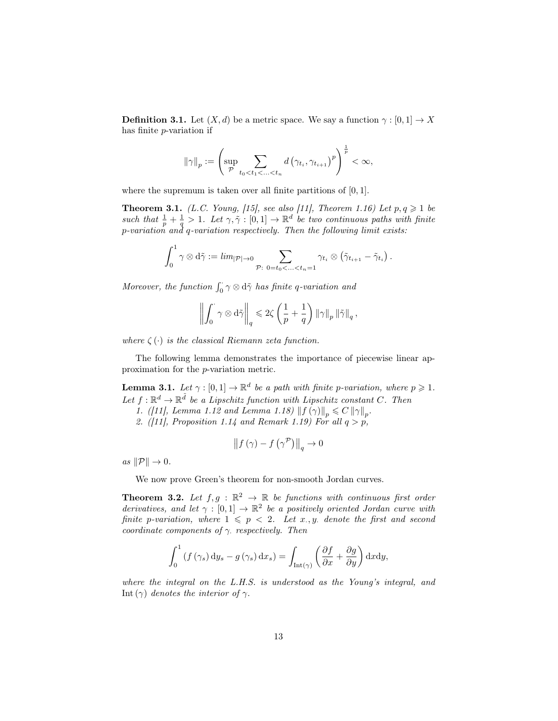**Definition 3.1.** Let  $(X, d)$  be a metric space. We say a function  $\gamma : [0, 1] \to X$ has finite p-variation if

$$
\|\gamma\|_{p} := \left(\sup_{\mathcal{P}} \sum_{t_0 < t_1 < \ldots < t_n} d\left(\gamma_{t_i}, \gamma_{t_{i+1}}\right)^p\right)^{\frac{1}{p}} < \infty,
$$

where the supremum is taken over all finite partitions of  $[0, 1]$ .

**Theorem 3.1.** (L.C. Young, [15], see also [11], Theorem 1.16) Let  $p, q \geq 1$  be such that  $\frac{1}{p} + \frac{1}{q} > 1$ . Let  $\gamma, \tilde{\gamma} : [0, 1] \to \mathbb{R}^d$  be two continuous paths with finite p-variation and q-variation respectively. Then the following limit exists:

$$
\int_0^1 \gamma \otimes d\tilde{\gamma} := \lim_{|\mathcal{P}| \to 0} \sum_{\mathcal{P}: \ 0 = t_0 < \ldots < t_n = 1} \gamma_{t_i} \otimes (\tilde{\gamma}_{t_{i+1}} - \tilde{\gamma}_{t_i}).
$$

Moreover, the function  $\int_0^1 \gamma \otimes d\tilde{\gamma}$  has finite q-variation and

$$
\left\|\int_0^{\cdot}\gamma\otimes{\rm d}\tilde\gamma\right\|_q\leqslant 2\zeta\left(\frac{1}{p}+\frac{1}{q}\right)\left\|\gamma\right\|_p\left\|\tilde\gamma\right\|_q,
$$

where  $\zeta(\cdot)$  is the classical Riemann zeta function.

The following lemma demonstrates the importance of piecewise linear approximation for the p-variation metric.

**Lemma 3.1.** Let  $\gamma : [0,1] \to \mathbb{R}^d$  be a path with finite p-variation, where  $p \geq 1$ . Let  $f: \mathbb{R}^d \to \mathbb{R}^{\tilde{d}}$  be a Lipschitz function with Lipschitz constant C. Then

- 1. ([11], Lemma 1.12 and Lemma 1.18)  $|| f(\gamma) ||_p \leq C ||\gamma||_p$ .
- 2. ([11], Proposition 1.14 and Remark 1.19) For all  $q > p$ ,

$$
\left\|f\left(\gamma\right) - f\left(\gamma^{\mathcal{P}}\right)\right\|_{q} \to 0
$$

as  $\|\mathcal{P}\| \to 0$ .

We now prove Green's theorem for non-smooth Jordan curves.

**Theorem 3.2.** Let  $f, g : \mathbb{R}^2 \to \mathbb{R}$  be functions with continuous first order derivatives, and let  $\gamma : [0,1] \to \mathbb{R}^2$  be a positively oriented Jordan curve with finite p-variation, where  $1 \leqslant p \leq 2$ . Let x., y. denote the first and second coordinate components of  $\gamma$  respectively. Then

$$
\int_0^1 \left( f(\gamma_s) \, \mathrm{d}y_s - g(\gamma_s) \, \mathrm{d}x_s \right) = \int_{\text{Int}(\gamma)} \left( \frac{\partial f}{\partial x} + \frac{\partial g}{\partial y} \right) \mathrm{d}x \mathrm{d}y,
$$

where the integral on the L.H.S. is understood as the Young's integral, and Int (γ) denotes the interior of  $\gamma$ .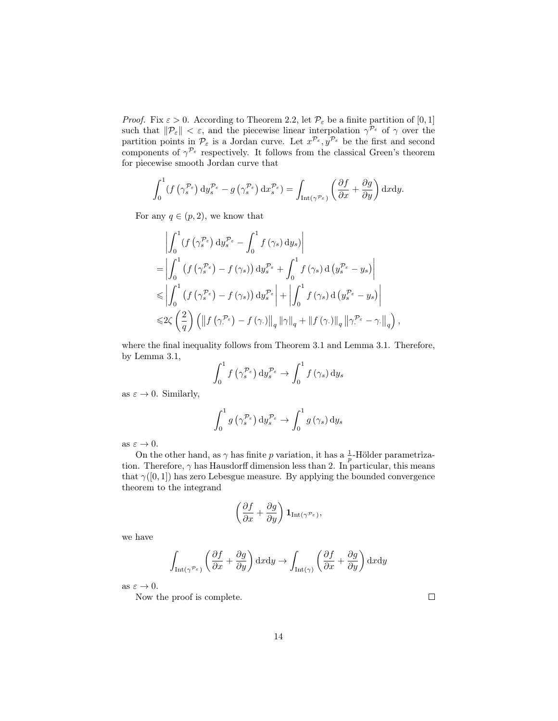*Proof.* Fix  $\varepsilon > 0$ . According to Theorem 2.2, let  $\mathcal{P}_{\varepsilon}$  be a finite partition of [0, 1] such that  $\|\mathcal{P}_{\varepsilon}\| < \varepsilon$ , and the piecewise linear interpolation  $\gamma^{\mathcal{P}_{\varepsilon}}$  of  $\gamma$  over the partition points in  $\mathcal{P}_{\varepsilon}$  is a Jordan curve. Let  $x^{\mathcal{P}_{\varepsilon}}, y^{\mathcal{P}_{\varepsilon}}$  be the first and second components of  $\gamma^{P_{\varepsilon}}$  respectively. It follows from the classical Green's theorem for piecewise smooth Jordan curve that

$$
\int_0^1 (f(\gamma_s^{\mathcal{P}_{\varepsilon}}) dy_s^{\mathcal{P}_{\varepsilon}} - g(\gamma_s^{\mathcal{P}_{\varepsilon}}) dx_s^{\mathcal{P}_{\varepsilon}}) = \int_{\mathrm{Int}(\gamma^{\mathcal{P}_{\varepsilon}})} \left(\frac{\partial f}{\partial x} + \frac{\partial g}{\partial y}\right) dxdy.
$$

For any  $q \in (p, 2)$ , we know that

$$
\left| \int_{0}^{1} \left( f\left(\gamma_{s}^{\mathcal{P}_{\varepsilon}}\right) dy_{s}^{\mathcal{P}_{\varepsilon}} - \int_{0}^{1} f\left(\gamma_{s}\right) dy_{s} \right) \right|
$$
  
\n
$$
= \left| \int_{0}^{1} \left( f\left(\gamma_{s}^{\mathcal{P}_{\varepsilon}}\right) - f\left(\gamma_{s}\right) \right) dy_{s}^{\mathcal{P}_{\varepsilon}} + \int_{0}^{1} f\left(\gamma_{s}\right) d\left(y_{s}^{\mathcal{P}_{\varepsilon}} - y_{s}\right) \right|
$$
  
\n
$$
\leq \left| \int_{0}^{1} \left( f\left(\gamma_{s}^{\mathcal{P}_{\varepsilon}}\right) - f\left(\gamma_{s}\right) \right) dy_{s}^{\mathcal{P}_{\varepsilon}} \right| + \left| \int_{0}^{1} f\left(\gamma_{s}\right) d\left(y_{s}^{\mathcal{P}_{\varepsilon}} - y_{s}\right) \right|
$$
  
\n
$$
\leq 2\zeta \left( \frac{2}{q} \right) \left( \left\| f\left(\gamma^{\mathcal{P}_{\varepsilon}}\right) - f\left(\gamma\right) \right\|_{q} \left\| \gamma \right\|_{q} + \left\| f\left(\gamma\right) \right\|_{q} \left\| \gamma^{\mathcal{P}_{\varepsilon}} - \gamma\right\|_{q} \right),
$$

where the final inequality follows from Theorem 3.1 and Lemma 3.1. Therefore, by Lemma 3.1,

$$
\int_0^1 f\left(\gamma_s^{\mathcal{P}_{\varepsilon}}\right) \mathrm{d}y_s^{\mathcal{P}_{\varepsilon}} \to \int_0^1 f\left(\gamma_s\right) \mathrm{d}y_s
$$

as  $\varepsilon \to 0$ . Similarly,

$$
\int_0^1 g\left(\gamma_s^{\mathcal{P}_\varepsilon}\right) dy_s^{\mathcal{P}_\varepsilon} \to \int_0^1 g\left(\gamma_s\right) dy_s
$$

as  $\varepsilon \to 0$ .

On the other hand, as  $\gamma$  has finite p variation, it has a  $\frac{1}{p}$ -Hölder parametrization. Therefore,  $\gamma$  has Hausdorff dimension less than 2. In particular, this means that  $\gamma([0,1])$  has zero Lebesgue measure. By applying the bounded convergence theorem to the integrand

$$
\left(\frac{\partial f}{\partial x} + \frac{\partial g}{\partial y}\right) \mathbf{1}_{\text{Int}(\gamma^{\mathcal{P}_{\varepsilon}})},
$$

we have

$$
\int_{\text{Int}(\gamma^{\mathcal{P}_{\varepsilon}})} \left(\frac{\partial f}{\partial x} + \frac{\partial g}{\partial y}\right) dxdy \to \int_{\text{Int}(\gamma)} \left(\frac{\partial f}{\partial x} + \frac{\partial g}{\partial y}\right) dxdy
$$

as  $\varepsilon \to 0$ .

Now the proof is complete.

 $\Box$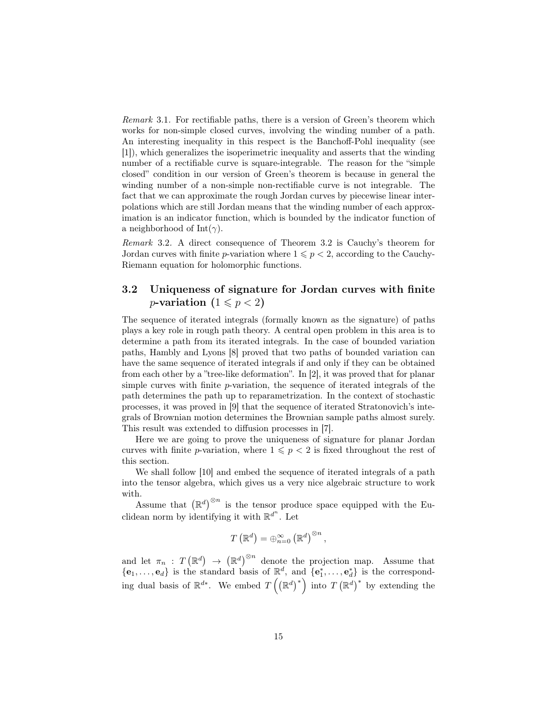Remark 3.1. For rectifiable paths, there is a version of Green's theorem which works for non-simple closed curves, involving the winding number of a path. An interesting inequality in this respect is the Banchoff-Pohl inequality (see [1]), which generalizes the isoperimetric inequality and asserts that the winding number of a rectifiable curve is square-integrable. The reason for the "simple closed" condition in our version of Green's theorem is because in general the winding number of a non-simple non-rectifiable curve is not integrable. The fact that we can approximate the rough Jordan curves by piecewise linear interpolations which are still Jordan means that the winding number of each approximation is an indicator function, which is bounded by the indicator function of a neighborhood of Int( $\gamma$ ).

Remark 3.2. A direct consequence of Theorem 3.2 is Cauchy's theorem for Jordan curves with finite p-variation where  $1 \leq p < 2$ , according to the Cauchy-Riemann equation for holomorphic functions.

#### 3.2 Uniqueness of signature for Jordan curves with finite *p*-variation  $(1 \leq p < 2)$

The sequence of iterated integrals (formally known as the signature) of paths plays a key role in rough path theory. A central open problem in this area is to determine a path from its iterated integrals. In the case of bounded variation paths, Hambly and Lyons [8] proved that two paths of bounded variation can have the same sequence of iterated integrals if and only if they can be obtained from each other by a "tree-like deformation". In [2], it was proved that for planar simple curves with finite  $p$ -variation, the sequence of iterated integrals of the path determines the path up to reparametrization. In the context of stochastic processes, it was proved in [9] that the sequence of iterated Stratonovich's integrals of Brownian motion determines the Brownian sample paths almost surely. This result was extended to diffusion processes in [7].

Here we are going to prove the uniqueness of signature for planar Jordan curves with finite p-variation, where  $1 \leqslant p < 2$  is fixed throughout the rest of this section.

We shall follow [10] and embed the sequence of iterated integrals of a path into the tensor algebra, which gives us a very nice algebraic structure to work with.

Assume that  $(\mathbb{R}^d)^{\otimes n}$  is the tensor produce space equipped with the Euclidean norm by identifying it with  $\mathbb{R}^{d^n}$ . Let

$$
T\left(\mathbb{R}^d\right) = \bigoplus_{n=0}^{\infty} \left(\mathbb{R}^d\right)^{\otimes n},
$$

and let  $\pi_n$ :  $T(\mathbb{R}^d) \to (\mathbb{R}^d)^{\otimes n}$  denote the projection map. Assume that  $\{\mathbf{e}_1,\ldots,\mathbf{e}_d\}$  is the standard basis of  $\mathbb{R}^d$ , and  $\{\mathbf{e}_1^*,\ldots,\mathbf{e}_d^*\}$  is the corresponding dual basis of  $\mathbb{R}^{d*}$ . We embed  $T\left(\left(\mathbb{R}^d\right)^*\right)$  into  $T\left(\mathbb{R}^d\right)^*$  by extending the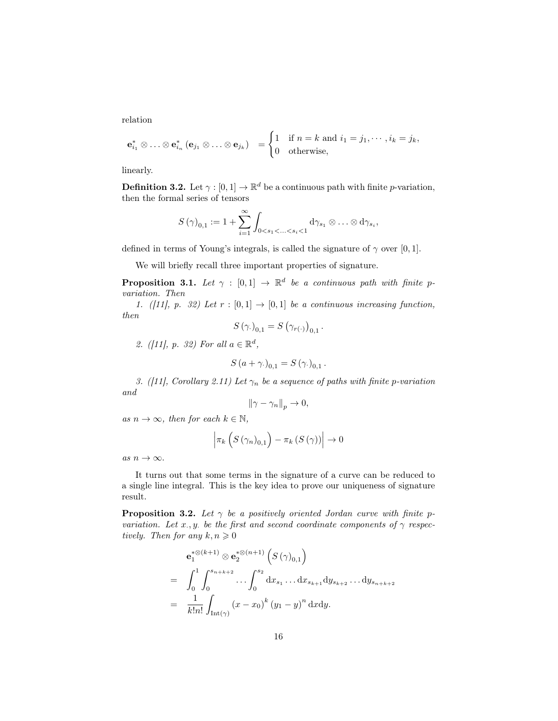relation

$$
\mathbf{e}_{i_1}^* \otimes \ldots \otimes \mathbf{e}_{i_n}^* \left( \mathbf{e}_{j_1} \otimes \ldots \otimes \mathbf{e}_{j_k} \right) = \begin{cases} 1 & \text{if } n = k \text{ and } i_1 = j_1, \cdots, i_k = j_k, \\ 0 & \text{otherwise,} \end{cases}
$$

linearly.

**Definition 3.2.** Let  $\gamma : [0,1] \to \mathbb{R}^d$  be a continuous path with finite *p*-variation, then the formal series of tensors

$$
S(\gamma)_{0,1} := 1 + \sum_{i=1}^{\infty} \int_{0 < s_1 < \ldots < s_i < 1} d\gamma_{s_1} \otimes \ldots \otimes d\gamma_{s_i},
$$

defined in terms of Young's integrals, is called the signature of  $\gamma$  over [0, 1].

We will briefly recall three important properties of signature.

**Proposition 3.1.** Let  $\gamma : [0,1] \rightarrow \mathbb{R}^d$  be a continuous path with finite pvariation. Then

1. ([11], p. 32) Let  $r : [0,1] \rightarrow [0,1]$  be a continuous increasing function, then

$$
S(\gamma_{\cdot})_{0,1} = S(\gamma_{r(\cdot)})_{0,1}.
$$

2. ([11], p. 32) For all  $a \in \mathbb{R}^d$ ,

$$
S\left(a+\gamma_{\cdot}\right)_{0,1}=S\left(\gamma_{\cdot}\right)_{0,1}.
$$

3. ([11], Corollary 2.11) Let  $\gamma_n$  be a sequence of paths with finite p-variation and

$$
\|\gamma-\gamma_n\|_p\to 0,
$$

as  $n \to \infty$ , then for each  $k \in \mathbb{N}$ ,

$$
\left| \pi_k \left( S \left( \gamma_n \right)_{0,1} \right) - \pi_k \left( S \left( \gamma \right) \right) \right| \to 0
$$

as  $n \to \infty$ .

It turns out that some terms in the signature of a curve can be reduced to a single line integral. This is the key idea to prove our uniqueness of signature result.

**Proposition 3.2.** Let  $\gamma$  be a positively oriented Jordan curve with finite pvariation. Let x, y. be the first and second coordinate components of  $\gamma$  respectively. Then for any  $k, n \geq 0$ 

$$
\begin{split}\n&\mathbf{e}_{1}^{*\otimes(k+1)} \otimes \mathbf{e}_{2}^{*\otimes(n+1)} \left( S \left( \gamma \right)_{0,1} \right) \\
&= \int_{0}^{1} \int_{0}^{s_{n+k+2}} \cdots \int_{0}^{s_{2}} \mathrm{d}x_{s_{1}} \ldots \mathrm{d}x_{s_{k+1}} \mathrm{d}y_{s_{k+2}} \ldots \mathrm{d}y_{s_{n+k+2}} \\
&= \frac{1}{k!n!} \int_{\text{Int}(\gamma)} \left( x - x_{0} \right)^{k} \left( y_{1} - y \right)^{n} \mathrm{d}x \mathrm{d}y.\n\end{split}
$$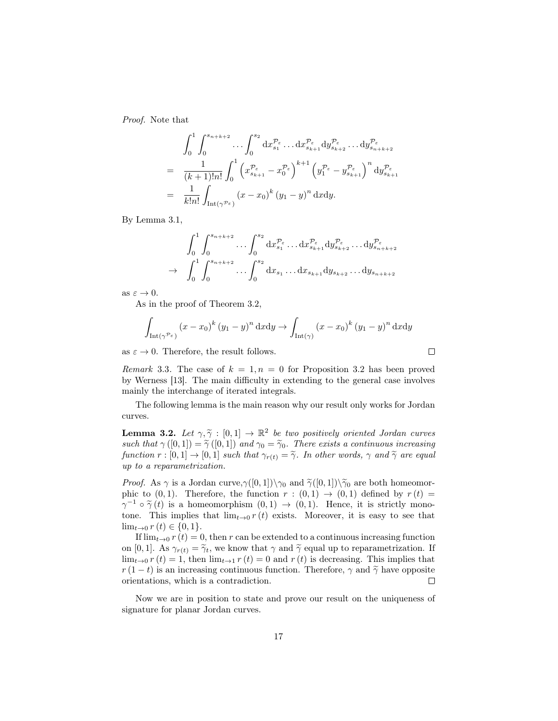Proof. Note that

$$
\int_0^1 \int_0^{s_{n+k+2}} \cdots \int_0^{s_2} dx_{s_1}^{\mathcal{P}_{\varepsilon}} \cdots dx_{s_{k+1}}^{\mathcal{P}_{\varepsilon}} dy_{s_{k+2}}^{\mathcal{P}_{\varepsilon}} \cdots dy_{s_{n+k+2}}^{\mathcal{P}_{\varepsilon}}
$$
\n
$$
= \frac{1}{(k+1)!n!} \int_0^1 \left( x_{s_{k+1}}^{\mathcal{P}_{\varepsilon}} - x_0^{\mathcal{P}_{\varepsilon}} \right)^{k+1} \left( y_1^{\mathcal{P}_{\varepsilon}} - y_{s_{k+1}}^{\mathcal{P}_{\varepsilon}} \right)^n dy_{s_{k+1}}^{\mathcal{P}_{\varepsilon}}
$$
\n
$$
= \frac{1}{k!n!} \int_{\text{Int}(\gamma^{\mathcal{P}_{\varepsilon}})} (x - x_0)^k (y_1 - y)^n dx dy.
$$

By Lemma 3.1,

$$
\int_{0}^{1} \int_{0}^{s_{n+k+2}} \dots \int_{0}^{s_{2}} dx_{s_{1}}^{\mathcal{P}_{\varepsilon}} \dots dx_{s_{k+1}}^{\mathcal{P}_{\varepsilon}} dy_{s_{k+2}}^{\mathcal{P}_{\varepsilon}} \dots dy_{s_{n+k+2}}^{\mathcal{P}_{\varepsilon}}
$$
  
\n
$$
\to \int_{0}^{1} \int_{0}^{s_{n+k+2}} \dots \int_{0}^{s_{2}} dx_{s_{1}} \dots dx_{s_{k+1}} dy_{s_{k+2}} \dots dy_{s_{n+k+2}}
$$

as  $\varepsilon \to 0$ .

As in the proof of Theorem 3.2,

$$
\int_{\text{Int}(\gamma^{\mathcal{P}_{\varepsilon}})} (x - x_0)^k (y_1 - y)^n \, \mathrm{d}x \mathrm{d}y \to \int_{\text{Int}(\gamma)} (x - x_0)^k (y_1 - y)^n \, \mathrm{d}x \mathrm{d}y
$$

as  $\varepsilon \to 0$ . Therefore, the result follows.

Remark 3.3. The case of  $k = 1, n = 0$  for Proposition 3.2 has been proved by Werness [13]. The main difficulty in extending to the general case involves mainly the interchange of iterated integrals.

The following lemma is the main reason why our result only works for Jordan curves.

**Lemma 3.2.** Let  $\gamma, \widetilde{\gamma} : [0,1] \to \mathbb{R}^2$  be two positively oriented Jordan curves such that  $\gamma([0, 1]) = \tilde{\gamma}([0, 1])$  and  $\gamma_0 = \tilde{\gamma}_0$ . There exists a continuous increasing function  $r : [0,1] \to [0,1]$  such that  $\gamma_{r(t)} = \tilde{\gamma}$ . In other words,  $\gamma$  and  $\tilde{\gamma}$  are equal up to a reparametrization.

*Proof.* As  $\gamma$  is a Jordan curve,  $\gamma([0,1])\setminus\gamma_0$  and  $\tilde{\gamma}([0,1])\setminus\tilde{\gamma}_0$  are both homeomorphic to  $(0, 1)$ . Therefore, the function  $r : (0, 1) \rightarrow (0, 1)$  defined by  $r(t) =$  $\gamma^{-1} \circ \tilde{\gamma}(t)$  is a homeomorphism  $(0,1) \to (0,1)$ . Hence, it is strictly mono-<br>tone. This implies that  $\lim_{x \to a} r(t)$  exists. Moreover, it is easy to see that tone. This implies that  $\lim_{t\to 0} r(t)$  exists. Moreover, it is easy to see that  $\lim_{t\to 0} r(t) \in \{0,1\}.$ 

If  $\lim_{t\to 0} r(t) = 0$ , then r can be extended to a continuous increasing function on [0, 1]. As  $\gamma_{r(t)} = \tilde{\gamma}_t$ , we know that  $\gamma$  and  $\tilde{\gamma}$  equal up to reparametrization. If  $\lim_{t\to 0} r(t) = 1$ , then  $\lim_{t\to 1} r(t) = 0$  and  $r(t)$  is decreasing. This implies that  $r(1-t)$  is an increasing continuous function. Therefore,  $\gamma$  and  $\tilde{\gamma}$  have opposite orientations, which is a contradiction. orientations, which is a contradiction.

Now we are in position to state and prove our result on the uniqueness of signature for planar Jordan curves.

 $\Box$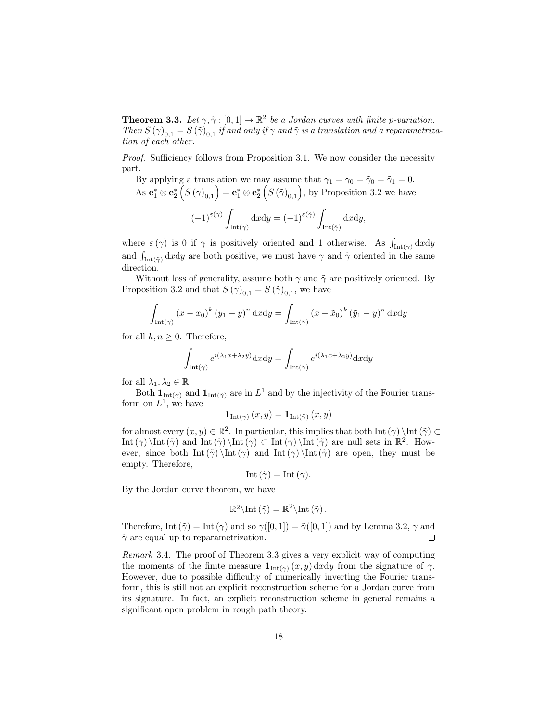**Theorem 3.3.** Let  $\gamma, \tilde{\gamma} : [0,1] \to \mathbb{R}^2$  be a Jordan curves with finite p-variation. Then  $S(\gamma)_{0,1} = S(\tilde{\gamma})_{0,1}$  if and only if  $\gamma$  and  $\tilde{\gamma}$  is a translation and a reparametrization of each other.

*Proof.* Sufficiency follows from Proposition 3.1. We now consider the necessity part.

By applying a translation we may assume that  $\gamma_1 = \gamma_0 = \tilde{\gamma}_0 = \tilde{\gamma}_1 = 0$ . As  $\mathbf{e}_1^* \otimes \mathbf{e}_2^*$   $(S(\gamma)_{0,1}) = \mathbf{e}_1^* \otimes \mathbf{e}_2^*$   $(S(\tilde{\gamma})_{0,1})$ , by Proposition 3.2 we have

$$
(-1)^{\varepsilon(\gamma)} \int_{\mathrm{Int}(\gamma)} \mathrm{d} x \mathrm{d} y = (-1)^{\varepsilon(\tilde{\gamma})} \int_{\mathrm{Int}(\tilde{\gamma})} \mathrm{d} x \mathrm{d} y,
$$

where  $\varepsilon(\gamma)$  is 0 if  $\gamma$  is positively oriented and 1 otherwise. As  $\int_{\text{Int}(\gamma)} dxdy$ and  $\int_{\text{Int}(\tilde{\gamma})} dxdy$  are both positive, we must have  $\gamma$  and  $\tilde{\gamma}$  oriented in the same direction.

Without loss of generality, assume both  $\gamma$  and  $\tilde{\gamma}$  are positively oriented. By Proposition 3.2 and that  $S(\gamma)_{0,1} = S(\tilde{\gamma})_{0,1}$ , we have

$$
\int_{\text{Int}(\gamma)} (x - x_0)^k (y_1 - y)^n \, \mathrm{d}x \mathrm{d}y = \int_{\text{Int}(\tilde{\gamma})} (x - \tilde{x}_0)^k (\tilde{y}_1 - y)^n \, \mathrm{d}x \mathrm{d}y
$$

for all  $k, n \geq 0$ . Therefore,

$$
\int_{\text{Int}(\gamma)} e^{i(\lambda_1 x + \lambda_2 y)} dxdy = \int_{\text{Int}(\tilde{\gamma})} e^{i(\lambda_1 x + \lambda_2 y)} dxdy
$$

for all  $\lambda_1, \lambda_2 \in \mathbb{R}$ .

Both  $\mathbf{1}_{\text{Int}(\gamma)}$  and  $\mathbf{1}_{\text{Int}(\tilde{\gamma})}$  are in  $L^1$  and by the injectivity of the Fourier transform on  $L^1$ , we have

$$
\mathbf{1}_{\text{Int}(\gamma)}(x,y) = \mathbf{1}_{\text{Int}(\tilde{\gamma})}(x,y)
$$

for almost every  $(x, y) \in \mathbb{R}^2$ . In particular, this implies that both Int  $(\gamma) \setminus \overline{\text{Int}(\tilde{\gamma})} \subset$ Int ( $\gamma$ ) \Int ( $\tilde{\gamma}$ ) and Int ( $\tilde{\gamma}$ ) \Int ( $\gamma$ ) \Int ( $\tilde{\gamma}$ ) are null sets in  $\mathbb{R}^2$ . However, since both Int  $(\tilde{\gamma}) \overline{\text{Int}(\gamma)}$  and Int  $(\gamma) \overline{\text{Int}(\tilde{\gamma})}$  are open, they must be empty. Therefore,

$$
\overline{\text{Int}\left(\tilde{\gamma}\right)} = \overline{\text{Int}\left(\gamma\right)}.
$$

By the Jordan curve theorem, we have

$$
\overline{\mathbb{R}^2 \setminus \overline{\text{Int}(\tilde{\gamma})}} = \mathbb{R}^2 \setminus \text{Int}(\tilde{\gamma}).
$$

Therefore, Int  $(\tilde{\gamma}) = \text{Int}(\gamma)$  and so  $\gamma([0,1]) = \tilde{\gamma}([0,1])$  and by Lemma 3.2,  $\gamma$  and  $\tilde{\gamma}$  are equal up to reparametrization.  $\Box$ 

Remark 3.4. The proof of Theorem 3.3 gives a very explicit way of computing the moments of the finite measure  $\mathbf{1}_{\text{Int}(\gamma)}(x, y) \, dx dy$  from the signature of  $\gamma$ . However, due to possible difficulty of numerically inverting the Fourier transform, this is still not an explicit reconstruction scheme for a Jordan curve from its signature. In fact, an explicit reconstruction scheme in general remains a significant open problem in rough path theory.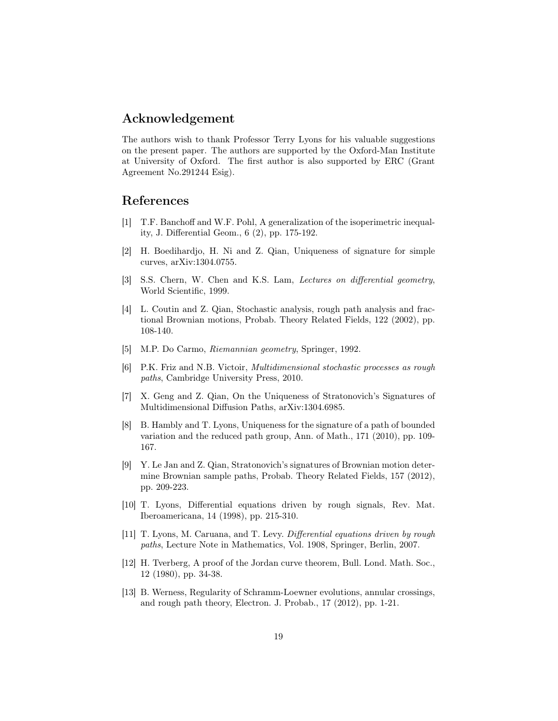### Acknowledgement

The authors wish to thank Professor Terry Lyons for his valuable suggestions on the present paper. The authors are supported by the Oxford-Man Institute at University of Oxford. The first author is also supported by ERC (Grant Agreement No.291244 Esig).

## References

- [1] T.F. Banchoff and W.F. Pohl, A generalization of the isoperimetric inequality, J. Differential Geom., 6 (2), pp. 175-192.
- [2] H. Boedihardjo, H. Ni and Z. Qian, Uniqueness of signature for simple curves, arXiv:1304.0755.
- [3] S.S. Chern, W. Chen and K.S. Lam, *Lectures on differential geometry*, World Scientific, 1999.
- [4] L. Coutin and Z. Qian, Stochastic analysis, rough path analysis and fractional Brownian motions, Probab. Theory Related Fields, 122 (2002), pp. 108-140.
- [5] M.P. Do Carmo, Riemannian geometry, Springer, 1992.
- [6] P.K. Friz and N.B. Victoir, Multidimensional stochastic processes as rough paths, Cambridge University Press, 2010.
- [7] X. Geng and Z. Qian, On the Uniqueness of Stratonovich's Signatures of Multidimensional Diffusion Paths, arXiv:1304.6985.
- [8] B. Hambly and T. Lyons, Uniqueness for the signature of a path of bounded variation and the reduced path group, Ann. of Math., 171 (2010), pp. 109- 167.
- [9] Y. Le Jan and Z. Qian, Stratonovich's signatures of Brownian motion determine Brownian sample paths, Probab. Theory Related Fields, 157 (2012), pp. 209-223.
- [10] T. Lyons, Differential equations driven by rough signals, Rev. Mat. Iberoamericana, 14 (1998), pp. 215-310.
- [11] T. Lyons, M. Caruana, and T. Levy. Differential equations driven by rough paths, Lecture Note in Mathematics, Vol. 1908, Springer, Berlin, 2007.
- [12] H. Tverberg, A proof of the Jordan curve theorem, Bull. Lond. Math. Soc., 12 (1980), pp. 34-38.
- [13] B. Werness, Regularity of Schramm-Loewner evolutions, annular crossings, and rough path theory, Electron. J. Probab., 17 (2012), pp. 1-21.